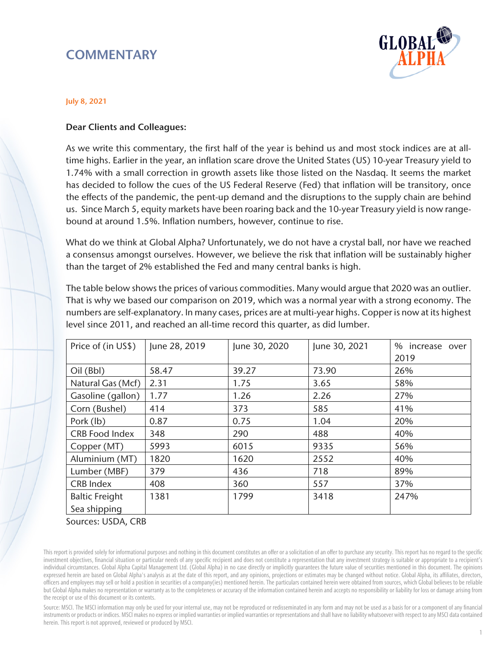# **COMMENTARY**



### July 8, 2021

## Dear Clients and Colleagues:

As we write this commentary, the first half of the year is behind us and most stock indices are at alltime highs. Earlier in the year, an inflation scare drove the United States (US) 10-year Treasury yield to 1.74% with a small correction in growth assets like those listed on the Nasdaq. It seems the market has decided to follow the cues of the US Federal Reserve (Fed) that inflation will be transitory, once the effects of the pandemic, the pent-up demand and the disruptions to the supply chain are behind us. Since March 5, equity markets have been roaring back and the 10-year Treasury yield is now rangebound at around 1.5%. Inflation numbers, however, continue to rise.

What do we think at Global Alpha? Unfortunately, we do not have a crystal ball, nor have we reached a consensus amongst ourselves. However, we believe the risk that inflation will be sustainably higher than the target of 2% established the Fed and many central banks is high.

The table below shows the prices of various commodities. Many would argue that 2020 was an outlier. That is why we based our comparison on 2019, which was a normal year with a strong economy. The numbers are self-explanatory. In many cases, prices are at multi-year highs. Copper is now at its highest level since 2011, and reached an all-time record this quarter, as did lumber.

| Price of (in US\$)    | June 28, 2019 | June 30, 2020 | June 30, 2021 | % increase over<br>2019 |
|-----------------------|---------------|---------------|---------------|-------------------------|
| $Oil$ (Bbl)           | 58.47         | 39.27         | 73.90         | 26%                     |
| Natural Gas (Mcf)     | 2.31          | 1.75          | 3.65          | 58%                     |
| Gasoline (gallon)     | 1.77          | 1.26          | 2.26          | 27%                     |
| Corn (Bushel)         | 414           | 373           | 585           | 41%                     |
| Pork (lb)             | 0.87          | 0.75          | 1.04          | 20%                     |
| <b>CRB Food Index</b> | 348           | 290           | 488           | 40%                     |
| Copper (MT)           | 5993          | 6015          | 9335          | 56%                     |
| Aluminium (MT)        | 1820          | 1620          | 2552          | 40%                     |
| Lumber (MBF)          | 379           | 436           | 718           | 89%                     |
| <b>CRB Index</b>      | 408           | 360           | 557           | 37%                     |
| <b>Baltic Freight</b> | 1381          | 1799          | 3418          | 247%                    |
| Sea shipping          |               |               |               |                         |

Sources: USDA, CRB

This report is provided solely for informational purposes and nothing in this document constitutes an offer or a solicitation of an offer to purchase any security. This report has no regard to the specific investment objectives, financial situation or particular needs of any specific recipient and does not constitute a representation that any investment strategy is suitable or appropriate to a recipient's individual circumstances. Global Alpha Capital Management Ltd. (Global Alpha) in no case directly or implicitly guarantees the future value of securities mentioned in this document. The opinions expressed herein are based on Global Alpha's analysis as at the date of this report, and any opinions, projections or estimates may be changed without notice. Global Alpha, its affiliates, directors, officers and employees may sell or hold a position in securities of a company(ies) mentioned herein. The particulars contained herein were obtained from sources, which Global believes to be reliable but Global Alpha makes no representation or warranty as to the completeness or accuracy of the information contained herein and accepts no responsibility or liability for loss or damage arising from the receipt or use of this document or its contents.

Source: MSCI. The MSCI information may only be used for your internal use, may not be reproduced or redisseminated in any form and may not be used as a basis for or a component of any financial instruments or products or indices. MSCI makes no express or implied warranties or implied warranties or representations and shall have no liability whatsoever with respect to any MSCI data contained herein. This report is not approved, reviewed or produced by MSCI.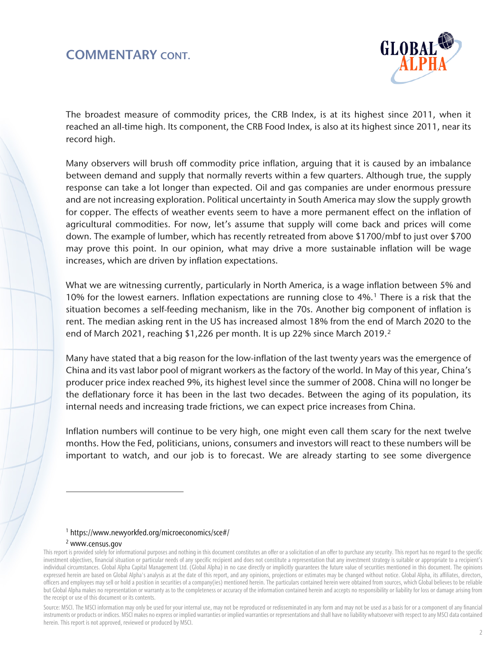## COMMENTARY CONT.



The broadest measure of commodity prices, the CRB Index, is at its highest since 2011, when it reached an all-time high. Its component, the CRB Food Index, is also at its highest since 2011, near its record high.

Many observers will brush off commodity price inflation, arguing that it is caused by an imbalance between demand and supply that normally reverts within a few quarters. Although true, the supply response can take a lot longer than expected. Oil and gas companies are under enormous pressure and are not increasing exploration. Political uncertainty in South America may slow the supply growth for copper. The effects of weather events seem to have a more permanent effect on the inflation of agricultural commodities. For now, let's assume that supply will come back and prices will come down. The example of lumber, which has recently retreated from above \$1700/mbf to just over \$700 may prove this point. In our opinion, what may drive a more sustainable inflation will be wage increases, which are driven by inflation expectations.

What we are witnessing currently, particularly in North America, is a wage inflation between 5% and 10% for the lowest earners. Inflation expectations are running close to 4%.[1](#page-1-0) There is a risk that the situation becomes a self-feeding mechanism, like in the 70s. Another big component of inflation is rent. The median asking rent in the US has increased almost 18% from the end of March 2020 to the end of March 2021, reaching \$1,226 per month. It is up 22% since March 2019.<sup>2</sup>

Many have stated that a big reason for the low-inflation of the last twenty years was the emergence of China and its vast labor pool of migrant workers as the factory of the world. In May of this year, China's producer price index reached 9%, its highest level since the summer of 2008. China will no longer be the deflationary force it has been in the last two decades. Between the aging of its population, its internal needs and increasing trade frictions, we can expect price increases from China.

Inflation numbers will continue to be very high, one might even call them scary for the next twelve months. How the Fed, politicians, unions, consumers and investors will react to these numbers will be important to watch, and our job is to forecast. We are already starting to see some divergence

#### 1 <https://www.newyorkfed.org/microeconomics/sce#/>

#### 2 [www.census.gov](http://www.census.gov/)

 $\overline{a}$ 

<span id="page-1-1"></span><span id="page-1-0"></span>This report is provided solely for informational purposes and nothing in this document constitutes an offer or a solicitation of an offer to purchase any security. This report has no regard to the specific investment objectives, financial situation or particular needs of any specific recipient and does not constitute a representation that any investment strategy is suitable or appropriate to a recipient's individual circumstances. Global Alpha Capital Management Ltd. (Global Alpha) in no case directly or implicitly guarantees the future value of securities mentioned in this document. The opinions expressed herein are based on Global Alpha's analysis as at the date of this report, and any opinions, projections or estimates may be changed without notice. Global Alpha, its affiliates, directors, officers and employees may sell or hold a position in securities of a company(ies) mentioned herein. The particulars contained herein were obtained from sources, which Global believes to be reliable but Global Alpha makes no representation or warranty as to the completeness or accuracy of the information contained herein and accepts no responsibility or liability for loss or damage arising from the receipt or use of this document or its contents.

Source: MSCI. The MSCI information may only be used for your internal use, may not be reproduced or redisseminated in any form and may not be used as a basis for or a component of any financial instruments or products or indices. MSCI makes no express or implied warranties or implied warranties or representations and shall have no liability whatsoever with respect to any MSCI data contained herein. This report is not approved, reviewed or produced by MSCI.